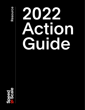

# 2022 Action eture e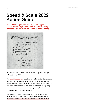## Speed & Scale 2022 Action Guide

 $5$ 

*Speed & Scale* urges you to act—to *go for the gigatons* and focus on where you can be most impactful in cutting greenhouse gas emissions and containing global warming.

**NET ZERO BY 2050** 1. ELECTRIFY TRANSPORTATION 2. DECARBONIZE THE GRID  $3. FIX FOOD$ 4. PROTECT NATURE 5. CLEAN UP INDUSTRY **6. REMOVE CARBON** USING: POLICY POLITICS **MOVEMENTS** INNOVATION INVESTMENT

Our aim is to reach net-zero carbon emissions by 2050—and get halfway there by 2030.

The [Speed & Scale plan](https://speedandscale.com/wp-content/uploads/2021/09/SS_Poster.pdf) is a pathway toward achieving that ambitious goal. For example, we can cut six billion tons of greenhouse gasses—10 percent of the annual global total—by electrifying transportation. To reach this objective, we'll need specific actions: replacing diesel buses with electric ones, installing hundreds of thousands of vehicle charging stations, and more.

In confronting this enormous challenge, we must be strategic. What should we do first? What will have the biggest difference? Here's our shortlist of high-impact actions you can take in 2022.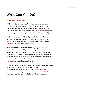## What Can You Do?

#### As an individual you can:

Eat less beef and waste less food: Consume lower-emissions proteins such as pork, chicken, or fish, or one of the many new plant-based proteins. Throw out less food, and compost what you don't eat. (On average, food accounts for [19 percent](https://www.cogitatiopress.com/urbanplanning/article/view/1218/1218) of a household's carbon footprint, with nearly half of that from dairy and meat.)

Switch to an electric vehicle: If you can't afford one right now, commit to making the vehicle you drive today the last fossil fuel vehicle you will own or lease. (On average, gasoline accounts for [25](https://www.cogitatiopress.com/urbanplanning/article/view/1218/1218)  [percent](https://www.cogitatiopress.com/urbanplanning/article/view/1218/1218) of a household's carbon footprint.)

Power your home with clean energy: Sign up for a clean(er) energy plan from your utility. Or add solar panels and a battery to reduce your reliance on the local grid (and, by extension, on fossil fuels). Replace your gas appliances with electric heat pumps and an electric or induction stove. Install a smart thermostat and insulate your home. (On average, electricity and heating account for [14](https://www.cogitatiopress.com/urbanplanning/article/view/1218/1218)  [percent](https://www.cogitatiopress.com/urbanplanning/article/view/1218/1218) of a household's carbon footprint.)

*On their own, there are limits to what any individual can accomplish in this arena. How can you increase your impact? To make your voice heard on the important climate policy decisions of the day, join a climate advocacy organization such as [The Climate Reality Project,](https://www.climaterealityproject.org/) [350.org,](https://350.org/) or one of the many global Climate Action Network members.*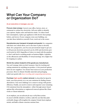## What Can Your Company or Organization Do?

#### As an executive or manager, you can:

Procure clean energy: Convert your office, factory, store, or restaurant to carbon-free electricity. Call your utility to identify your options. Deploy solar and batteries onsite. To reduce fossil fuel consumption, replace gas appliances with electric heat pumps, boilers, and stoves. If your company owns your building, you can take these initiatives yourself; if not, reach out to the owner.

Decarbonize your transport of people and goods: For companies with their own vehicle fleets, now is the time to plan to electrify them. Set a progressive, year-by-year procurement target to get you to 100 percent electricity-powered cars by 2030 and electricity-powered trucks by 2035. Regardless of where we stand with the pandemic, don't rush back to sending people on business flights. Capitalize on the efficiencies and flexibility of virtual meetings. Set a higher bar for stepping on a plane.

#### Shrink the carbon footprint of the goods you manufacture:

You can't manage what you don't measure. Start by tracking and cutting emissions for anything you produce. A few practical options: Seek out new suppliers. Use cleaner heat sources in your production processes. Move to climate-friendly materials and packaging. Label your goods with [clear recycling and composting instructions](https://how2recycle.info/).

Purchase [high-quality](https://query.prod.cms.rt.microsoft.com/cms/api/am/binary/RWGG6f) carbon removal: As described in Speed & Scale, your first priority is to cut your emissions by finding cleaner alternatives. Your next challenge is to conserve energy with greater efficiency. Finally, you need to remove and sequester your remaining CO2 emissions from the atmosphere—either through nature-based options like reforestation or engineered removal options like Climeworks or Charm Industrial.

*As an employee, you can advocate for any or all of these actions. In concert with like-minded co-workers, make the case that these planet-friendly changes will strengthen the company's brand, boost employee morale, and build a climate-conscious customer base.*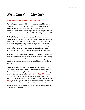## What Can Your City Do?

### As an elected or government official, you can:

Work with your electric utility to cut emissions by 90 percent by 2035: Since cities are often their local utilities' partners and largest customers, see to it that new investments in the power grid are channeled toward carbon-free energy sources. Create a plan that cuts greenhouse gas emissions in half by 2025 and by 90 percent by 2035.

Update building codes to end the use of natural gas and consume less energy: Following the lead of New York City and Denver, tighten rules to prohibit natural gas in new construction. Alternatives: for heating and cooling, energy-saving electric heat pumps; for water heaters, electric boilers. For climate-friendly cooking, look to induction stoves. When gas-powered appliances break, codes should mandate their replacement with electric equivalents.

Build out a citywide network of protected bike lanes: This offers the highest return on investment of infrastructure dollars for easing and speeding commutes, reducing congestion, and cutting a city's emissions. By making cycling safer, protected lanes will broaden its adoption.

*The emissions profile for each city will vary based on its geography and urban layout. By checking your city's greenhouse gas inventory, you'll see the potential local impact of these three actions for cutting greenhouse gas emissions. For example, according to [New York City's published annual](https://nyc-ghg-inventory.cusp.nyu.edu/)  [inventory](https://nyc-ghg-inventory.cusp.nyu.edu/), 36 percent of emissions come from natural gas, 29 percent from electricity generation, and 24 percent from transportation. By comparison, [Denver](https://www.denvergov.org/files/assets/public/community-planning-and-development/documents/planning-general/blueprint-denver/2_tf13_climate_considerations_denveright_tomherrod.pdf) generates 35 percent of its emissions from electricity generation, 20 percent from transportation, and 14 percent from natural gas. [Los Angeles](https://planning.lacounty.gov/site/climate/about-lac-cap/) has a very different emissions profile, with transportation accounting for 62 percent of its emissions.*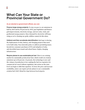## What Can Your State or Provincial Government Do?

### As an elected or government official, you can:

Finance large energy projects: To stay on pace to cut emissions in half by 2025 and by 90 percent by 2035, pass legislation and finance grid improvements, electricity storage, and new solar, wind, and geothermal energy projects. Since demand for electricity will keep rising as we're cleaning our grids, utilities cannot do this alone.

Unblock and then accelerate electrification: Red tape is slowing the deployment of solar, battery, and charging projects that need to be built today. Pass statewide policy to address permitting issues. Incentivize consumer purchases of EVs and adoption of solar, and electrified mass transit and school buses. Deploy charging infrastructure.

Require planes to use sustainable jet fuel: There is no existing market for sustainably produced jet fuel, which would cut aviation emissions up to 80 percent. At present, the technology is new and the volume of production is low, making the fuel too expensive for commercial air travel without regulation. But action on the state level can begin to shift that equation. To lower the price and increase availability, states can require private planes to use a sustainable aviation fuel (SAF) blend for trips between local airports.